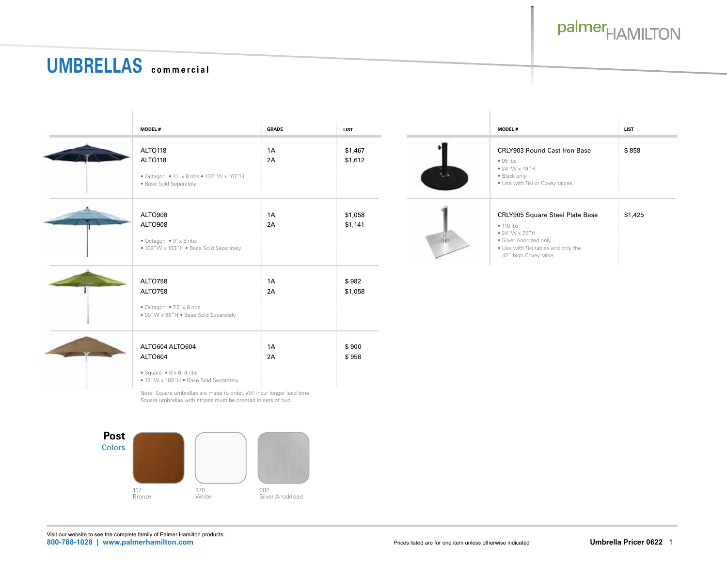

 $$1,425$ 

## **UMBRELLAS commercial** UM**BRELLAU** commercial

| <b>MODEL#</b>                                                                                                                                                                                                                                      | <b>GRADE</b> | <b>LIST</b>        |       | <b>MODEL#</b>                                                                                                                                                         | <b>LIST</b> |
|----------------------------------------------------------------------------------------------------------------------------------------------------------------------------------------------------------------------------------------------------|--------------|--------------------|-------|-----------------------------------------------------------------------------------------------------------------------------------------------------------------------|-------------|
| ALTO118<br>ALTO118<br>• Octagon • 11' x 8 ribs • 132"W x 107"H<br>· Base Sold Separately                                                                                                                                                           | 1A<br>2A     | \$1,467<br>\$1,612 | ALL A | CRLY903 Round Cast Iron Base<br>$\bullet$ 95 lbs<br>$\bullet$ 24"W x 19"H<br>· Black only<br>. Use with Tiki or Covey tables.                                         | \$858       |
| ALTO908<br>ALTO908<br>$\bullet$ Octagon $\bullet$ 9' x 8 ribs<br>• 108"W x 103"H • Base Sold Separately                                                                                                                                            | 1A<br>2A     | \$1,058<br>\$1,141 |       | CRLY905 Square Steel Plate Base<br>• 110 lbs<br>$\bullet$ 24"W $\times$ 25"H<br>· Silver Anodized only<br>. Use with Tiki tables and only the<br>42" high Covey table | \$1,425     |
| ALTO758<br>ALTO758<br>$\bullet$ Octagon $\bullet$ 7.5' x 8 ribs<br>• 90"W x 96"H • Base Sold Separately                                                                                                                                            | 1A<br>2A     | \$982<br>\$1,058   |       |                                                                                                                                                                       |             |
| ALTO604 ALTO604<br>ALTO604<br>• Square • $6' \times 6'$ 4 ribs<br>• 72"W x 103"H • Base Sold Separately<br>Note: Square umbrellas are made to order. Will incur longer lead time.<br>Square umbrellas with stripes must be ordered in sets of two. | 1A<br>2A     | \$900<br>\$958     |       |                                                                                                                                                                       |             |